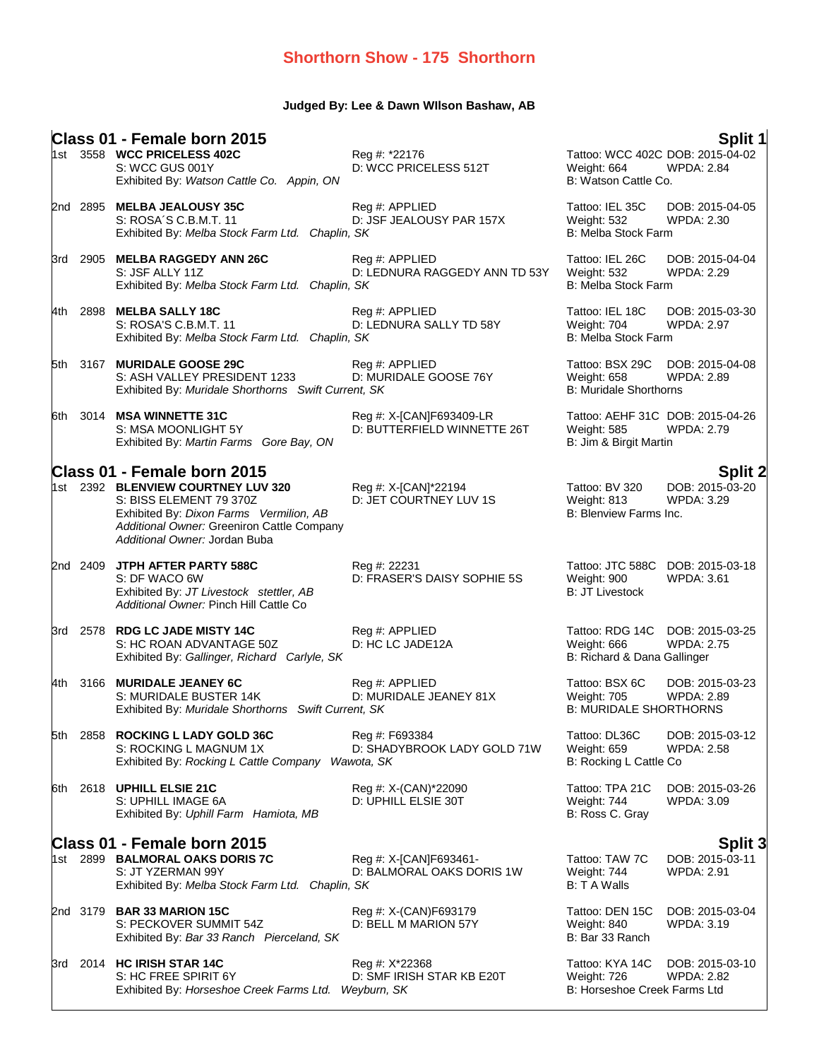### **Judged By: Lee & Dawn WIlson Bashaw, AB**

|      |          | Class 01 - Female born 2015                                                                                                                                                                                            |                                                            |                                                                                  | Split 1                                                |
|------|----------|------------------------------------------------------------------------------------------------------------------------------------------------------------------------------------------------------------------------|------------------------------------------------------------|----------------------------------------------------------------------------------|--------------------------------------------------------|
|      |          | 1st 3558 WCC PRICELESS 402C<br>S: WCC GUS 001Y<br>Exhibited By: Watson Cattle Co. Appin, ON                                                                                                                            | Reg #: *22176<br>D: WCC PRICELESS 512T                     | Tattoo: WCC 402C DOB: 2015-04-02<br>Weight: 664<br>B: Watson Cattle Co.          | <b>WPDA: 2.84</b>                                      |
|      | 2nd 2895 | <b>MELBA JEALOUSY 35C</b><br>S: ROSA'S C.B.M.T. 11<br>Exhibited By: Melba Stock Farm Ltd. Chaplin, SK                                                                                                                  | Reg #: APPLIED<br>D: JSF JEALOUSY PAR 157X                 | Tattoo: IEL 35C<br><b>Weight: 532</b><br>B: Melba Stock Farm                     | DOB: 2015-04-05<br><b>WPDA: 2.30</b>                   |
| 3rd  | 2905     | <b>MELBA RAGGEDY ANN 26C</b><br>S: JSF ALLY 11Z<br>Exhibited By: Melba Stock Farm Ltd. Chaplin, SK                                                                                                                     | Reg #: APPLIED<br>D: LEDNURA RAGGEDY ANN TD 53Y            | Tattoo: IEL 26C<br><b>Weight: 532</b><br><b>B: Melba Stock Farm</b>              | DOB: 2015-04-04<br><b>WPDA: 2.29</b>                   |
| 4th  | 2898     | <b>MELBA SALLY 18C</b><br>S: ROSA'S C.B.M.T. 11<br>Exhibited By: Melba Stock Farm Ltd. Chaplin, SK                                                                                                                     | Reg #: APPLIED<br>D: LEDNURA SALLY TD 58Y                  | Tattoo: IEL 18C<br>Weight: 704<br>B: Melba Stock Farm                            | DOB: 2015-03-30<br><b>WPDA: 2.97</b>                   |
|      | 5th 3167 | <b>MURIDALE GOOSE 29C</b><br>S: ASH VALLEY PRESIDENT 1233<br>Exhibited By: Muridale Shorthorns Swift Current, SK                                                                                                       | Reg #: APPLIED<br>D: MURIDALE GOOSE 76Y                    | Tattoo: BSX 29C<br><b>Weight: 658</b><br><b>B: Muridale Shorthorns</b>           | DOB: 2015-04-08<br><b>WPDA: 2.89</b>                   |
| 6th. | 3014     | <b>MSA WINNETTE 31C</b><br>S: MSA MOONLIGHT 5Y<br>Exhibited By: Martin Farms Gore Bay, ON                                                                                                                              | Reg #: X-[CAN]F693409-LR<br>D: BUTTERFIELD WINNETTE 26T    | Tattoo: AEHF 31C DOB: 2015-04-26<br><b>Weight: 585</b><br>B: Jim & Birgit Martin | <b>WPDA: 2.79</b>                                      |
|      |          |                                                                                                                                                                                                                        |                                                            |                                                                                  |                                                        |
|      |          | Class 01 - Female born 2015<br>1st 2392 BLENVIEW COURTNEY LUV 320<br>S: BISS ELEMENT 79 370Z<br>Exhibited By: Dixon Farms Vermilion, AB<br>Additional Owner: Greeniron Cattle Company<br>Additional Owner: Jordan Buba | Reg #: X-[CAN]*22194<br>D: JET COURTNEY LUV 1S             | Tattoo: BV 320<br>Weight: 813<br>B: Blenview Farms Inc.                          | <b>Split 2</b><br>DOB: 2015-03-20<br><b>WPDA: 3.29</b> |
|      | 2nd 2409 | <b>JTPH AFTER PARTY 588C</b><br>S: DF WACO 6W<br>Exhibited By: JT Livestock stettler, AB<br>Additional Owner: Pinch Hill Cattle Co                                                                                     | Reg #: 22231<br>D: FRASER'S DAISY SOPHIE 5S                | Tattoo: JTC 588C<br>Weight: 900<br><b>B: JT Livestock</b>                        | DOB: 2015-03-18<br><b>WPDA: 3.61</b>                   |
|      |          | 3rd 2578 RDG LC JADE MISTY 14C<br>S: HC ROAN ADVANTAGE 50Z<br>Exhibited By: Gallinger, Richard Carlyle, SK                                                                                                             | Reg #: APPLIED<br>D: HC LC JADE12A                         | Tattoo: RDG 14C DOB: 2015-03-25<br>Weight: 666<br>B: Richard & Dana Gallinger    | <b>WPDA: 2.75</b>                                      |
|      | 4th 3166 | <b>MURIDALE JEANEY 6C</b><br>S: MURIDALE BUSTER 14K<br>Exhibited By: Muridale Shorthorns Swift Current, SK                                                                                                             | Reg #: APPLIED<br>D: MURIDALE JEANEY 81X                   | Tattoo: BSX 6C<br>Weight: 705<br><b>B: MURIDALE SHORTHORNS</b>                   | DOB: 2015-03-23<br><b>WPDA: 2.89</b>                   |
| 5th  |          | 2858 ROCKING L LADY GOLD 36C<br>S: ROCKING L MAGNUM 1X<br>Exhibited By: Rocking L Cattle Company Wawota, SK                                                                                                            | Reg #: F693384<br>D: SHADYBROOK LADY GOLD 71W              | Tattoo: DL36C<br>Weight: 659<br>B: Rocking L Cattle Co                           | DOB: 2015-03-12<br><b>WPDA: 2.58</b>                   |
| 6th. |          | 2618 UPHILL ELSIE 21C<br>S: UPHILL IMAGE 6A<br>Exhibited By: Uphill Farm Hamiota, MB                                                                                                                                   | Reg #: X-(CAN)*22090<br>D: UPHILL ELSIE 30T                | Tattoo: TPA 21C<br>Weight: 744<br>B: Ross C. Gray                                | DOB: 2015-03-26<br><b>WPDA: 3.09</b>                   |
|      |          | Class 01 - Female born 2015                                                                                                                                                                                            |                                                            |                                                                                  |                                                        |
|      |          | 1st 2899 BALMORAL OAKS DORIS 7C<br>S: JT YZERMAN 99Y<br>Exhibited By: Melba Stock Farm Ltd. Chaplin, SK                                                                                                                | Reg #: X-[CAN]F693461-<br>D: BALMORAL OAKS DORIS 1W        | Tattoo: TAW 7C<br>Weight: 744<br>B: T A Walls                                    | <b>Split 3</b><br>DOB: 2015-03-11<br><b>WPDA: 2.91</b> |
|      |          | 2nd 3179 BAR 33 MARION 15C<br>S: PECKOVER SUMMIT 54Z<br>Exhibited By: Bar 33 Ranch Pierceland, SK                                                                                                                      | Reg #: X-(CAN)F693179<br>D: BELL M MARION 57Y              | Tattoo: DEN 15C<br>Weight: 840<br>B: Bar 33 Ranch                                | DOB: 2015-03-04<br><b>WPDA: 3.19</b>                   |
| 3rd  |          | 2014 HC IRISH STAR 14C<br>S: HC FREE SPIRIT 6Y<br>Exhibited By: Horseshoe Creek Farms Ltd.                                                                                                                             | Reg #: X*22368<br>D: SMF IRISH STAR KB E20T<br>Weyburn, SK | Tattoo: KYA 14C<br>Weight: 726<br>B: Horseshoe Creek Farms Ltd                   | DOB: 2015-03-10<br><b>WPDA: 2.82</b>                   |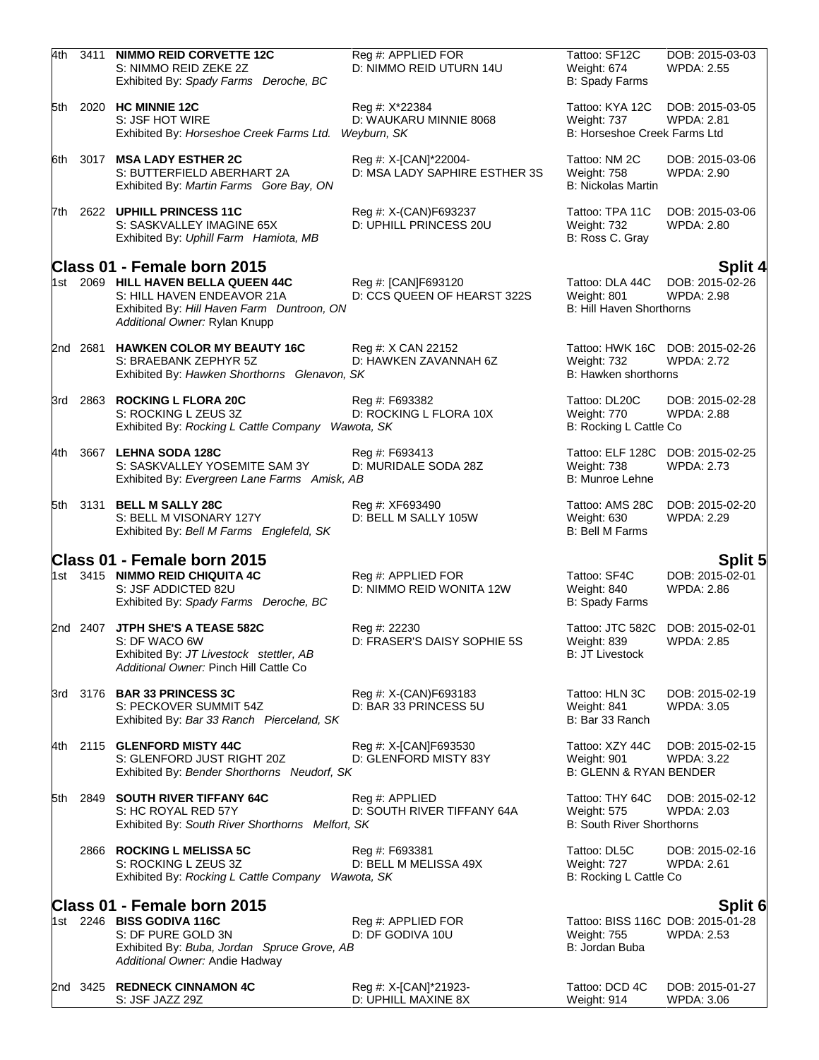| 4th   | 3411     | <b>NIMMO REID CORVETTE 12C</b><br>S: NIMMO REID ZEKE 2Z<br>Exhibited By: Spady Farms Deroche, BC                                                                                | Reg #: APPLIED FOR<br>D: NIMMO REID UTURN 14U           | Tattoo: SF12C<br>Weight: 674<br>B: Spady Farms                      | DOB: 2015-03-03<br><b>WPDA: 2.55</b>                   |
|-------|----------|---------------------------------------------------------------------------------------------------------------------------------------------------------------------------------|---------------------------------------------------------|---------------------------------------------------------------------|--------------------------------------------------------|
| 5th   |          | 2020 HC MINNIE 12C<br>S: JSF HOT WIRE<br>Exhibited By: Horseshoe Creek Farms Ltd.                                                                                               | Reg #: X*22384<br>D: WAUKARU MINNIE 8068<br>Weyburn, SK | Tattoo: KYA 12C<br>Weight: 737<br>B: Horseshoe Creek Farms Ltd      | DOB: 2015-03-05<br><b>WPDA: 2.81</b>                   |
| 6th   |          | 3017 MSA LADY ESTHER 2C<br>S: BUTTERFIELD ABERHART 2A<br>Exhibited By: Martin Farms Gore Bay, ON                                                                                | Reg #: X-[CAN]*22004-<br>D: MSA LADY SAPHIRE ESTHER 3S  | Tattoo: NM 2C<br>Weight: 758<br><b>B: Nickolas Martin</b>           | DOB: 2015-03-06<br><b>WPDA: 2.90</b>                   |
| 7th   |          | 2622 UPHILL PRINCESS 11C<br>S: SASKVALLEY IMAGINE 65X<br>Exhibited By: Uphill Farm Hamiota, MB                                                                                  | Reg #: X-(CAN)F693237<br>D: UPHILL PRINCESS 20U         | Tattoo: TPA 11C<br>Weight: 732<br>B: Ross C. Gray                   | DOB: 2015-03-06<br><b>WPDA: 2.80</b>                   |
|       |          | Class 01 - Female born 2015<br>1st 2069 HILL HAVEN BELLA QUEEN 44C<br>S: HILL HAVEN ENDEAVOR 21A<br>Exhibited By: Hill Haven Farm Duntroon, ON<br>Additional Owner: Rylan Knupp | Reg #: [CAN]F693120<br>D: CCS QUEEN OF HEARST 322S      | Tattoo: DLA 44C<br>Weight: 801<br>B: Hill Haven Shorthorns          | Split 4<br>DOB: 2015-02-26<br><b>WPDA: 2.98</b>        |
|       | 2nd 2681 | <b>HAWKEN COLOR MY BEAUTY 16C</b><br>S: BRAEBANK ZEPHYR 5Z<br>Exhibited By: Hawken Shorthorns Glenavon, SK                                                                      | Reg #: X CAN 22152<br>D: HAWKEN ZAVANNAH 6Z             | Tattoo: HWK 16C<br><b>Weight: 732</b><br>B: Hawken shorthorns       | DOB: 2015-02-26<br><b>WPDA: 2.72</b>                   |
|       | 3rd 2863 | <b>ROCKING L FLORA 20C</b><br>S: ROCKING L ZEUS 3Z<br>Exhibited By: Rocking L Cattle Company Wawota, SK                                                                         | Reg #: F693382<br>D: ROCKING L FLORA 10X                | Tattoo: DL20C<br>Weight: 770<br>B: Rocking L Cattle Co              | DOB: 2015-02-28<br>WPDA: 2.88                          |
| 4th   |          | 3667 LEHNA SODA 128C<br>S: SASKVALLEY YOSEMITE SAM 3Y<br>Exhibited By: Evergreen Lane Farms Amisk, AB                                                                           | Reg #: F693413<br>D: MURIDALE SODA 28Z                  | Tattoo: ELF 128C<br>Weight: 738<br>B: Munroe Lehne                  | DOB: 2015-02-25<br><b>WPDA: 2.73</b>                   |
|       | 5th 3131 | <b>BELL M SALLY 28C</b><br>S: BELL M VISONARY 127Y<br>Exhibited By: Bell M Farms Englefeld, SK                                                                                  | Reg #: XF693490<br>D: BELL M SALLY 105W                 | Tattoo: AMS 28C<br>Weight: 630<br><b>B: Bell M Farms</b>            | DOB: 2015-02-20<br>WPDA: 2.29                          |
|       |          | Class 01 - Female born 2015                                                                                                                                                     |                                                         |                                                                     |                                                        |
|       |          | 1st 3415 NIMMO REID CHIQUITA 4C<br>S: JSF ADDICTED 82U<br>Exhibited By: Spady Farms Deroche, BC                                                                                 | Reg #: APPLIED FOR<br>D: NIMMO REID WONITA 12W          | Tattoo: SF4C<br>Weight: 840<br>B: Spady Farms                       | <b>Split 5</b><br>DOB: 2015-02-01<br><b>WPDA: 2.86</b> |
|       | 2nd 2407 | <b>JTPH SHE'S A TEASE 582C</b><br>S: DF WACO 6W<br>Exhibited By: JT Livestock stettler, AB<br>Additional Owner: Pinch Hill Cattle Co                                            | Reg #: 22230<br>D: FRASER'S DAISY SOPHIE 5S             | Tattoo: JTC 582C<br>Weight: 839<br><b>B: JT Livestock</b>           | DOB: 2015-02-01<br><b>WPDA: 2.85</b>                   |
|       |          | 3rd 3176 BAR 33 PRINCESS 3C<br>S: PECKOVER SUMMIT 54Z<br>Exhibited By: Bar 33 Ranch Pierceland, SK                                                                              | Reg #: X-(CAN)F693183<br>D: BAR 33 PRINCESS 5U          | Tattoo: HLN 3C<br>Weight: 841<br>B: Bar 33 Ranch                    | DOB: 2015-02-19<br><b>WPDA: 3.05</b>                   |
| 4th l |          | 2115 GLENFORD MISTY 44C<br>S: GLENFORD JUST RIGHT 20Z<br>Exhibited By: Bender Shorthorns Neudorf, SK                                                                            | Reg #: X-[CAN]F693530<br>D: GLENFORD MISTY 83Y          | Tattoo: XZY 44C<br>Weight: 901<br><b>B: GLENN &amp; RYAN BENDER</b> | DOB: 2015-02-15<br>WPDA: 3.22                          |
| 5th   |          | 2849 SOUTH RIVER TIFFANY 64C<br>S: HC ROYAL RED 57Y<br>Exhibited By: South River Shorthorns Melfort, SK                                                                         | Reg #: APPLIED<br>D: SOUTH RIVER TIFFANY 64A            | Tattoo: THY 64C<br>Weight: 575<br><b>B: South River Shorthorns</b>  | DOB: 2015-02-12<br><b>WPDA: 2.03</b>                   |
|       |          | 2866 ROCKING L MELISSA 5C<br>S: ROCKING L ZEUS 3Z<br>Exhibited By: Rocking L Cattle Company Wawota, SK                                                                          | Reg #: F693381<br>D: BELL M MELISSA 49X                 | Tattoo: DL5C<br>Weight: 727<br>B: Rocking L Cattle Co               | DOB: 2015-02-16<br>WPDA: 2.61                          |
|       |          | Class 01 - Female born 2015                                                                                                                                                     |                                                         |                                                                     | Split 6                                                |
|       |          | 1st 2246 BISS GODIVA 116C<br>S: DF PURE GOLD 3N<br>Exhibited By: Buba, Jordan Spruce Grove, AB<br>Additional Owner: Andie Hadway                                                | Reg #: APPLIED FOR<br>D: DF GODIVA 10U                  | Weight: 755<br>B: Jordan Buba                                       | Tattoo: BISS 116C DOB: 2015-01-28<br><b>WPDA: 2.53</b> |
|       |          | 2nd 3425 REDNECK CINNAMON 4C<br>S: JSF JAZZ 29Z                                                                                                                                 | Reg #: X-[CAN]*21923-<br>D: UPHILL MAXINE 8X            | Tattoo: DCD 4C<br>Weight: 914                                       | DOB: 2015-01-27<br><b>WPDA: 3.06</b>                   |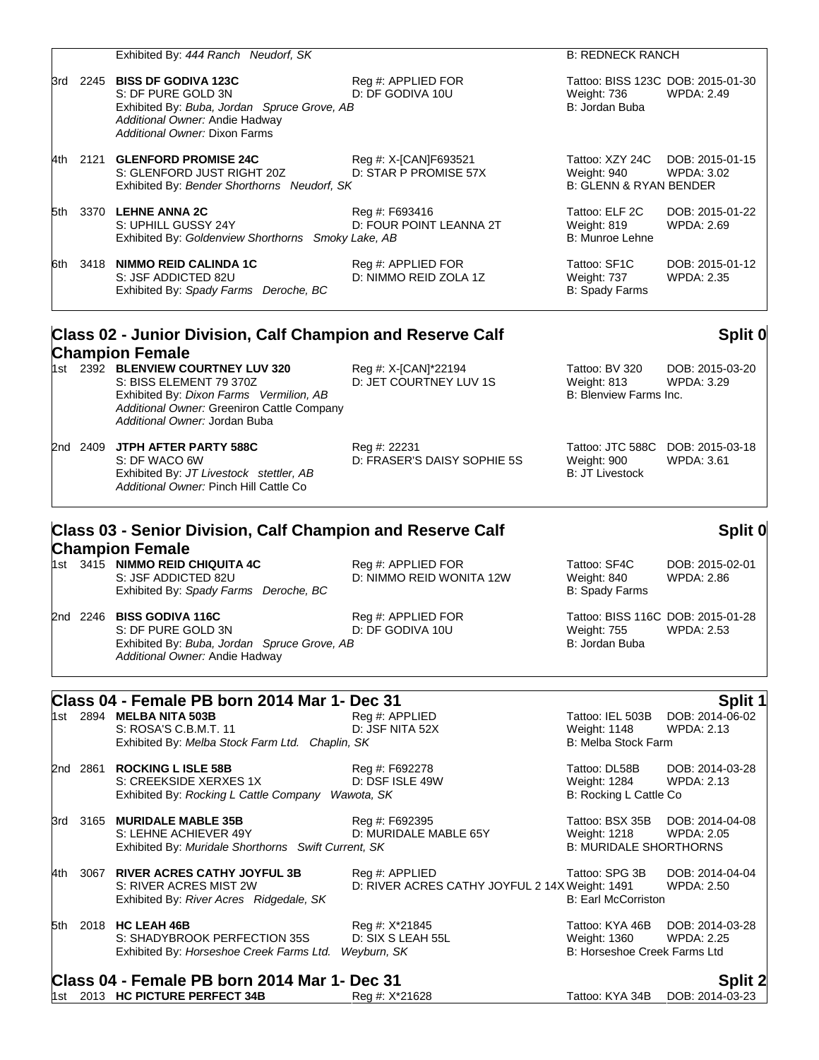| 3rd 2245 <b>BISS DF GODIVA 123C</b><br>Reg #: APPLIED FOR<br>Tattoo: BISS 123C DOB: 2015-01-30<br>S: DF PURE GOLD 3N<br>D: DF GODIVA 10U<br><b>WPDA: 2.49</b><br>Weight: 736<br>Exhibited By: Buba, Jordan Spruce Grove, AB<br>B: Jordan Buba<br>Additional Owner: Andie Hadway<br>Additional Owner: Dixon Farms<br>4th 2121 GLENFORD PROMISE 24C<br>Reg #: X-[CAN]F693521<br>Tattoo: XZY 24C<br>D: STAR P PROMISE 57X<br>S: GLENFORD JUST RIGHT 20Z<br>WPDA: 3.02<br>Weight: 940<br><b>B: GLENN &amp; RYAN BENDER</b><br>Exhibited By: Bender Shorthorns Neudorf, SK<br>5th 3370 LEHNE ANNA 2C<br>Tattoo: ELF 2C<br>Reg #: F693416<br>D: FOUR POINT LEANNA 2T<br>S: UPHILL GUSSY 24Y<br>Weight: 819<br>WPDA: 2.69<br>B: Munroe Lehne<br>Exhibited By: Goldenview Shorthorns Smoky Lake, AB<br>6th 3418 NIMMO REID CALINDA 1C<br>Reg #: APPLIED FOR<br>Tattoo: SF1C<br>S: JSF ADDICTED 82U<br>D: NIMMO REID ZOLA 1Z<br>Weight: 737<br><b>WPDA: 2.35</b><br>Exhibited By: Spady Farms Deroche, BC<br>B: Spady Farms<br>Class 02 - Junior Division, Calf Champion and Reserve Calf<br><b>Champion Female</b><br>1st 2392 BLENVIEW COURTNEY LUV 320<br>Reg #: X-[CAN]*22194<br>Tattoo: BV 320<br>S: BISS ELEMENT 79 370Z<br>D: JET COURTNEY LUV 1S<br>WPDA: 3.29<br>Weight: 813<br>Exhibited By: Dixon Farms Vermilion, AB<br>B: Blenview Farms Inc.<br>Additional Owner: Greeniron Cattle Company<br>Additional Owner: Jordan Buba<br>2nd 2409 JTPH AFTER PARTY 588C<br>Tattoo: JTC 588C DOB: 2015-03-18<br>Reg #: 22231<br>S: DF WACO 6W<br>D: FRASER'S DAISY SOPHIE 5S<br>Weight: 900<br><b>WPDA: 3.61</b><br>Exhibited By: JT Livestock stettler, AB<br><b>B: JT Livestock</b><br>Additional Owner: Pinch Hill Cattle Co<br>Class 03 - Senior Division, Calf Champion and Reserve Calf<br><b>Champion Female</b><br>1st 3415 NIMMO REID CHIQUITA 4C<br>Reg #: APPLIED FOR<br>Tattoo: SF4C<br>S: JSF ADDICTED 82U<br>D: NIMMO REID WONITA 12W<br>Weight: 840<br>WPDA: 2.86<br><b>B: Spady Farms</b><br>Exhibited By: Spady Farms Deroche, BC<br>2nd 2246 BISS GODIVA 116C<br>Tattoo: BISS 116C DOB: 2015-01-28<br>Reg #: APPLIED FOR<br>S: DF PURE GOLD 3N<br>D: DF GODIVA 10U<br><b>WPDA: 2.53</b><br><b>Weight: 755</b><br>Exhibited By: Buba, Jordan Spruce Grove, AB<br>B: Jordan Buba<br>Additional Owner: Andie Hadway<br>Class 04 - Female PB born 2014 Mar 1- Dec 31<br>1st 2894 MELBA NITA 503B<br>Reg #: APPLIED<br>Tattoo: IEL 503B<br>D: JSF NITA 52X<br>S: ROSA'S C.B.M.T. 11<br>Weight: 1148<br>WPDA: 2.13<br>Exhibited By: Melba Stock Farm Ltd. Chaplin, SK<br><b>B: Melba Stock Farm</b><br>2nd 2861<br><b>ROCKING L ISLE 58B</b><br>Tattoo: DL58B<br>Reg #: F692278<br>S: CREEKSIDE XERXES 1X<br>D: DSF ISLE 49W<br>Weight: 1284<br><b>WPDA: 2.13</b><br>B: Rocking L Cattle Co<br>Exhibited By: Rocking L Cattle Company Wawota, SK<br>3165 MURIDALE MABLE 35B<br>Tattoo: BSX 35B<br>Reg #: F692395<br>3rd<br>D: MURIDALE MABLE 65Y<br>S: LEHNE ACHIEVER 49Y<br>Weight: 1218<br><b>WPDA: 2.05</b><br><b>B: MURIDALE SHORTHORNS</b><br>Exhibited By: Muridale Shorthorns Swift Current, SK<br>3067 RIVER ACRES CATHY JOYFUL 3B<br>Tattoo: SPG 3B<br>Reg #: APPLIED<br>4th -<br>S: RIVER ACRES MIST 2W<br>D: RIVER ACRES CATHY JOYFUL 2 14X Weight: 1491<br><b>WPDA: 2.50</b><br><b>B: Earl McCorriston</b><br>Exhibited By: River Acres Ridgedale, SK<br>Tattoo: KYA 46B<br>2018 HC LEAH 46B<br>Reg #: X*21845<br>5th<br>D: SIX S LEAH 55L<br>S: SHADYBROOK PERFECTION 35S<br>Weight: 1360<br><b>WPDA: 2.25</b><br>Exhibited By: Horseshoe Creek Farms Ltd.<br>Weyburn, SK<br>B: Horseshoe Creek Farms Ltd<br>Class 04 - Female PB born 2014 Mar 1- Dec 31<br>1st 2013 HC PICTURE PERFECT 34B<br>Reg #: X*21628<br>Tattoo: KYA 34B |  | Exhibited By: 444 Ranch Neudorf, SK | <b>B: REDNECK RANCH</b> |                                   |
|------------------------------------------------------------------------------------------------------------------------------------------------------------------------------------------------------------------------------------------------------------------------------------------------------------------------------------------------------------------------------------------------------------------------------------------------------------------------------------------------------------------------------------------------------------------------------------------------------------------------------------------------------------------------------------------------------------------------------------------------------------------------------------------------------------------------------------------------------------------------------------------------------------------------------------------------------------------------------------------------------------------------------------------------------------------------------------------------------------------------------------------------------------------------------------------------------------------------------------------------------------------------------------------------------------------------------------------------------------------------------------------------------------------------------------------------------------------------------------------------------------------------------------------------------------------------------------------------------------------------------------------------------------------------------------------------------------------------------------------------------------------------------------------------------------------------------------------------------------------------------------------------------------------------------------------------------------------------------------------------------------------------------------------------------------------------------------------------------------------------------------------------------------------------------------------------------------------------------------------------------------------------------------------------------------------------------------------------------------------------------------------------------------------------------------------------------------------------------------------------------------------------------------------------------------------------------------------------------------------------------------------------------------------------------------------------------------------------------------------------------------------------------------------------------------------------------------------------------------------------------------------------------------------------------------------------------------------------------------------------------------------------------------------------------------------------------------------------------------------------------------------------------------------------------------------------------------------------------------------------------------------------------------------------------------------------------------------------------------------------------------------------------------------------------------------------------------------------------------------------------------------------------------------------------------------------------------------------------------------------------------------------------------------------------------------------------------------------------------------------------|--|-------------------------------------|-------------------------|-----------------------------------|
|                                                                                                                                                                                                                                                                                                                                                                                                                                                                                                                                                                                                                                                                                                                                                                                                                                                                                                                                                                                                                                                                                                                                                                                                                                                                                                                                                                                                                                                                                                                                                                                                                                                                                                                                                                                                                                                                                                                                                                                                                                                                                                                                                                                                                                                                                                                                                                                                                                                                                                                                                                                                                                                                                                                                                                                                                                                                                                                                                                                                                                                                                                                                                                                                                                                                                                                                                                                                                                                                                                                                                                                                                                                                                                                                                      |  |                                     |                         |                                   |
|                                                                                                                                                                                                                                                                                                                                                                                                                                                                                                                                                                                                                                                                                                                                                                                                                                                                                                                                                                                                                                                                                                                                                                                                                                                                                                                                                                                                                                                                                                                                                                                                                                                                                                                                                                                                                                                                                                                                                                                                                                                                                                                                                                                                                                                                                                                                                                                                                                                                                                                                                                                                                                                                                                                                                                                                                                                                                                                                                                                                                                                                                                                                                                                                                                                                                                                                                                                                                                                                                                                                                                                                                                                                                                                                                      |  |                                     |                         | DOB: 2015-01-15                   |
|                                                                                                                                                                                                                                                                                                                                                                                                                                                                                                                                                                                                                                                                                                                                                                                                                                                                                                                                                                                                                                                                                                                                                                                                                                                                                                                                                                                                                                                                                                                                                                                                                                                                                                                                                                                                                                                                                                                                                                                                                                                                                                                                                                                                                                                                                                                                                                                                                                                                                                                                                                                                                                                                                                                                                                                                                                                                                                                                                                                                                                                                                                                                                                                                                                                                                                                                                                                                                                                                                                                                                                                                                                                                                                                                                      |  |                                     |                         | DOB: 2015-01-22                   |
|                                                                                                                                                                                                                                                                                                                                                                                                                                                                                                                                                                                                                                                                                                                                                                                                                                                                                                                                                                                                                                                                                                                                                                                                                                                                                                                                                                                                                                                                                                                                                                                                                                                                                                                                                                                                                                                                                                                                                                                                                                                                                                                                                                                                                                                                                                                                                                                                                                                                                                                                                                                                                                                                                                                                                                                                                                                                                                                                                                                                                                                                                                                                                                                                                                                                                                                                                                                                                                                                                                                                                                                                                                                                                                                                                      |  |                                     |                         | DOB: 2015-01-12                   |
|                                                                                                                                                                                                                                                                                                                                                                                                                                                                                                                                                                                                                                                                                                                                                                                                                                                                                                                                                                                                                                                                                                                                                                                                                                                                                                                                                                                                                                                                                                                                                                                                                                                                                                                                                                                                                                                                                                                                                                                                                                                                                                                                                                                                                                                                                                                                                                                                                                                                                                                                                                                                                                                                                                                                                                                                                                                                                                                                                                                                                                                                                                                                                                                                                                                                                                                                                                                                                                                                                                                                                                                                                                                                                                                                                      |  |                                     |                         | Split 0                           |
|                                                                                                                                                                                                                                                                                                                                                                                                                                                                                                                                                                                                                                                                                                                                                                                                                                                                                                                                                                                                                                                                                                                                                                                                                                                                                                                                                                                                                                                                                                                                                                                                                                                                                                                                                                                                                                                                                                                                                                                                                                                                                                                                                                                                                                                                                                                                                                                                                                                                                                                                                                                                                                                                                                                                                                                                                                                                                                                                                                                                                                                                                                                                                                                                                                                                                                                                                                                                                                                                                                                                                                                                                                                                                                                                                      |  |                                     |                         | DOB: 2015-03-20                   |
|                                                                                                                                                                                                                                                                                                                                                                                                                                                                                                                                                                                                                                                                                                                                                                                                                                                                                                                                                                                                                                                                                                                                                                                                                                                                                                                                                                                                                                                                                                                                                                                                                                                                                                                                                                                                                                                                                                                                                                                                                                                                                                                                                                                                                                                                                                                                                                                                                                                                                                                                                                                                                                                                                                                                                                                                                                                                                                                                                                                                                                                                                                                                                                                                                                                                                                                                                                                                                                                                                                                                                                                                                                                                                                                                                      |  |                                     |                         |                                   |
|                                                                                                                                                                                                                                                                                                                                                                                                                                                                                                                                                                                                                                                                                                                                                                                                                                                                                                                                                                                                                                                                                                                                                                                                                                                                                                                                                                                                                                                                                                                                                                                                                                                                                                                                                                                                                                                                                                                                                                                                                                                                                                                                                                                                                                                                                                                                                                                                                                                                                                                                                                                                                                                                                                                                                                                                                                                                                                                                                                                                                                                                                                                                                                                                                                                                                                                                                                                                                                                                                                                                                                                                                                                                                                                                                      |  |                                     |                         | Split 0                           |
|                                                                                                                                                                                                                                                                                                                                                                                                                                                                                                                                                                                                                                                                                                                                                                                                                                                                                                                                                                                                                                                                                                                                                                                                                                                                                                                                                                                                                                                                                                                                                                                                                                                                                                                                                                                                                                                                                                                                                                                                                                                                                                                                                                                                                                                                                                                                                                                                                                                                                                                                                                                                                                                                                                                                                                                                                                                                                                                                                                                                                                                                                                                                                                                                                                                                                                                                                                                                                                                                                                                                                                                                                                                                                                                                                      |  |                                     |                         | DOB: 2015-02-01                   |
|                                                                                                                                                                                                                                                                                                                                                                                                                                                                                                                                                                                                                                                                                                                                                                                                                                                                                                                                                                                                                                                                                                                                                                                                                                                                                                                                                                                                                                                                                                                                                                                                                                                                                                                                                                                                                                                                                                                                                                                                                                                                                                                                                                                                                                                                                                                                                                                                                                                                                                                                                                                                                                                                                                                                                                                                                                                                                                                                                                                                                                                                                                                                                                                                                                                                                                                                                                                                                                                                                                                                                                                                                                                                                                                                                      |  |                                     |                         |                                   |
|                                                                                                                                                                                                                                                                                                                                                                                                                                                                                                                                                                                                                                                                                                                                                                                                                                                                                                                                                                                                                                                                                                                                                                                                                                                                                                                                                                                                                                                                                                                                                                                                                                                                                                                                                                                                                                                                                                                                                                                                                                                                                                                                                                                                                                                                                                                                                                                                                                                                                                                                                                                                                                                                                                                                                                                                                                                                                                                                                                                                                                                                                                                                                                                                                                                                                                                                                                                                                                                                                                                                                                                                                                                                                                                                                      |  |                                     |                         | Split 1                           |
|                                                                                                                                                                                                                                                                                                                                                                                                                                                                                                                                                                                                                                                                                                                                                                                                                                                                                                                                                                                                                                                                                                                                                                                                                                                                                                                                                                                                                                                                                                                                                                                                                                                                                                                                                                                                                                                                                                                                                                                                                                                                                                                                                                                                                                                                                                                                                                                                                                                                                                                                                                                                                                                                                                                                                                                                                                                                                                                                                                                                                                                                                                                                                                                                                                                                                                                                                                                                                                                                                                                                                                                                                                                                                                                                                      |  |                                     |                         | DOB: 2014-06-02                   |
|                                                                                                                                                                                                                                                                                                                                                                                                                                                                                                                                                                                                                                                                                                                                                                                                                                                                                                                                                                                                                                                                                                                                                                                                                                                                                                                                                                                                                                                                                                                                                                                                                                                                                                                                                                                                                                                                                                                                                                                                                                                                                                                                                                                                                                                                                                                                                                                                                                                                                                                                                                                                                                                                                                                                                                                                                                                                                                                                                                                                                                                                                                                                                                                                                                                                                                                                                                                                                                                                                                                                                                                                                                                                                                                                                      |  |                                     |                         | DOB: 2014-03-28                   |
|                                                                                                                                                                                                                                                                                                                                                                                                                                                                                                                                                                                                                                                                                                                                                                                                                                                                                                                                                                                                                                                                                                                                                                                                                                                                                                                                                                                                                                                                                                                                                                                                                                                                                                                                                                                                                                                                                                                                                                                                                                                                                                                                                                                                                                                                                                                                                                                                                                                                                                                                                                                                                                                                                                                                                                                                                                                                                                                                                                                                                                                                                                                                                                                                                                                                                                                                                                                                                                                                                                                                                                                                                                                                                                                                                      |  |                                     |                         | DOB: 2014-04-08                   |
|                                                                                                                                                                                                                                                                                                                                                                                                                                                                                                                                                                                                                                                                                                                                                                                                                                                                                                                                                                                                                                                                                                                                                                                                                                                                                                                                                                                                                                                                                                                                                                                                                                                                                                                                                                                                                                                                                                                                                                                                                                                                                                                                                                                                                                                                                                                                                                                                                                                                                                                                                                                                                                                                                                                                                                                                                                                                                                                                                                                                                                                                                                                                                                                                                                                                                                                                                                                                                                                                                                                                                                                                                                                                                                                                                      |  |                                     |                         | DOB: 2014-04-04                   |
|                                                                                                                                                                                                                                                                                                                                                                                                                                                                                                                                                                                                                                                                                                                                                                                                                                                                                                                                                                                                                                                                                                                                                                                                                                                                                                                                                                                                                                                                                                                                                                                                                                                                                                                                                                                                                                                                                                                                                                                                                                                                                                                                                                                                                                                                                                                                                                                                                                                                                                                                                                                                                                                                                                                                                                                                                                                                                                                                                                                                                                                                                                                                                                                                                                                                                                                                                                                                                                                                                                                                                                                                                                                                                                                                                      |  |                                     |                         | DOB: 2014-03-28                   |
|                                                                                                                                                                                                                                                                                                                                                                                                                                                                                                                                                                                                                                                                                                                                                                                                                                                                                                                                                                                                                                                                                                                                                                                                                                                                                                                                                                                                                                                                                                                                                                                                                                                                                                                                                                                                                                                                                                                                                                                                                                                                                                                                                                                                                                                                                                                                                                                                                                                                                                                                                                                                                                                                                                                                                                                                                                                                                                                                                                                                                                                                                                                                                                                                                                                                                                                                                                                                                                                                                                                                                                                                                                                                                                                                                      |  |                                     |                         | <b>Split 2</b><br>DOB: 2014-03-23 |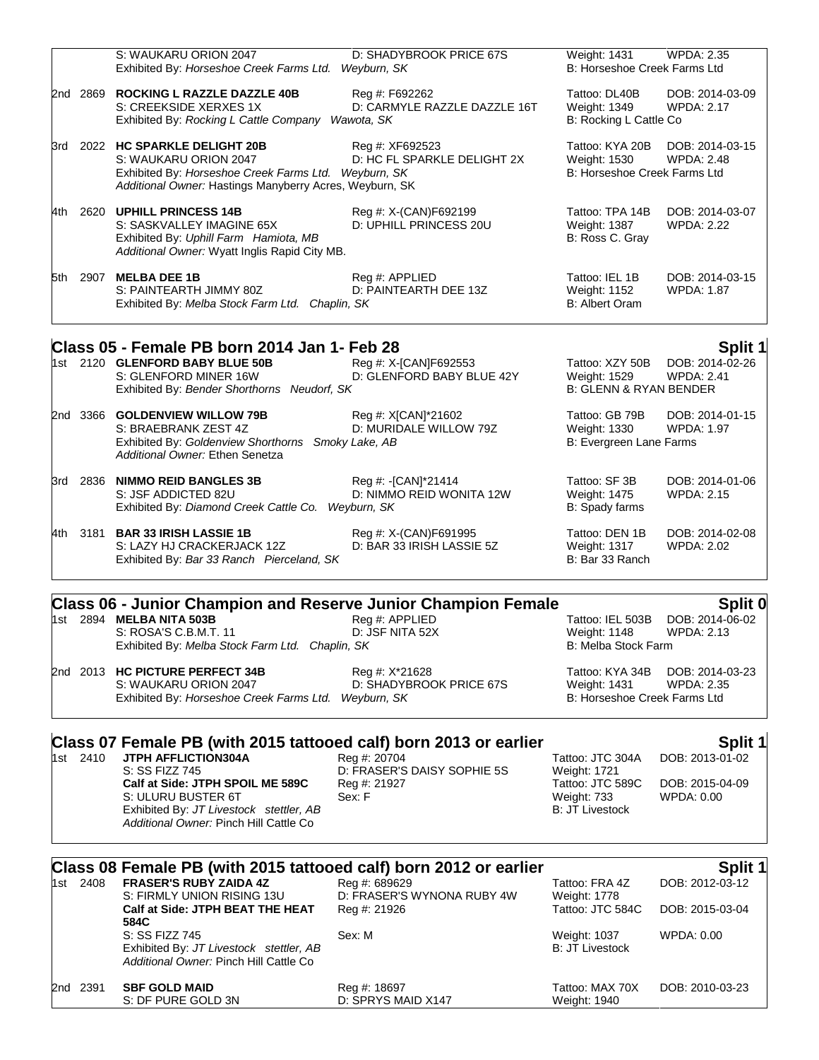|     |      | S: WAUKARU ORION 2047                                                                                                                                                     | D: SHADYBROOK PRICE 67S                                      | Weight: 1431                                                    | <b>WPDA: 2.35</b>                    |
|-----|------|---------------------------------------------------------------------------------------------------------------------------------------------------------------------------|--------------------------------------------------------------|-----------------------------------------------------------------|--------------------------------------|
|     |      | Exhibited By: Horseshoe Creek Farms Ltd.                                                                                                                                  | Weyburn, SK                                                  | B: Horseshoe Creek Farms Ltd                                    |                                      |
| 2nd | 2869 | <b>ROCKING L RAZZLE DAZZLE 40B</b><br>S: CREEKSIDE XERXES 1X<br>Exhibited By: Rocking L Cattle Company                                                                    | Reg #: F692262<br>D: CARMYLE RAZZLE DAZZLE 16T<br>Wawota, SK | Tattoo: DL40B<br>Weight: 1349<br>B: Rocking L Cattle Co         | DOB: 2014-03-09<br><b>WPDA: 2.17</b> |
| 3rd | 2022 | <b>HC SPARKLE DELIGHT 20B</b><br>S: WAUKARU ORION 2047<br>Exhibited By: Horseshoe Creek Farms Ltd. Weyburn, SK<br>Additional Owner: Hastings Manyberry Acres, Weyburn, SK | Reg #: XF692523<br>D: HC FL SPARKLE DELIGHT 2X               | Tattoo: KYA 20B<br>Weight: 1530<br>B: Horseshoe Creek Farms Ltd | DOB: 2014-03-15<br><b>WPDA: 2.48</b> |
| 4th | 2620 | <b>UPHILL PRINCESS 14B</b><br>S: SASKVALLEY IMAGINE 65X<br>Exhibited By: Uphill Farm Hamiota, MB<br>Additional Owner: Wyatt Inglis Rapid City MB.                         | Reg #: X-(CAN)F692199<br>D: UPHILL PRINCESS 20U              | Tattoo: TPA 14B<br>Weight: 1387<br>B: Ross C. Gray              | DOB: 2014-03-07<br><b>WPDA: 2.22</b> |
| 5th | 2907 | <b>MELBA DEE 1B</b><br>S: PAINTEARTH JIMMY 80Z<br>Exhibited By: Melba Stock Farm Ltd. Chaplin, SK                                                                         | Reg #: APPLIED<br>D: PAINTEARTH DEE 13Z                      | Tattoo: IEL 1B<br>Weight: 1152<br><b>B: Albert Oram</b>         | DOB: 2014-03-15<br><b>WPDA: 1.87</b> |
|     |      |                                                                                                                                                                           |                                                              |                                                                 |                                      |

### **Class 05 - Female PB born 2014 Jan 1- Feb 28 Split 1**

|  | 1st 2120 GLENFORD BABY BLUE 50B                    | Reg #: X-[CAN]F692553             | Tattoo: XZY 50B         | DOB: 2014-02-26   |
|--|----------------------------------------------------|-----------------------------------|-------------------------|-------------------|
|  | S: GLENFORD MINER 16W                              | D: GLENFORD BABY BLUE 42Y         | Weight: 1529            | WPDA: 2.41        |
|  | Exhibited By: Bender Shorthorns Neudorf, SK        | <b>B: GLENN &amp; RYAN BENDER</b> |                         |                   |
|  | 2nd 3366 GOLDENVIEW WILLOW 79B                     | Reg #: X[CAN]*21602               | Tattoo: GB 79B          | DOB: 2014-01-15   |
|  | S: BRAEBRANK ZEST 4Z                               | D: MURIDALE WILLOW 79Z            | Weight: 1330            | <b>WPDA: 1.97</b> |
|  | Exhibited By: Goldenview Shorthorns Smoky Lake, AB |                                   | B: Evergreen Lane Farms |                   |

| S: JSF ADDICTED 82U                                | Reg #: -[CAN]*21414  |
|----------------------------------------------------|----------------------|
| Exhibited By: Diamond Creek Cattle Co. Weyburn, SK | D: NIMMO REID WONITA |

4th 3181 **BAR 33 IRISH LASSIE 1B** Reg #: X-(CAN)F691995 Tattoo: DEN 1B DOB: 2014-02-08<br>S: LAZY HJ CRACKERJACK 12Z D: BAR 33 IRISH LASSIE 5Z Weight: 1317 WPDA: 2.02 S: LAZY HJ CRACKERJACK 12Z D: BAR 33 IRISH LASSIE 5Z Weight: 1317<br>Exhibited By: *Bar 33 Ranch Pierceland, SK* B: Bar 33 Ranch Exhibited By: Bar 33 Ranch Pierceland, SK

*Additional Owner:* Ethen Senetza

# **Class 06 - Junior Champion and Reserve Junior Champion Female Split 0**

1st 2894 **MELBA NITA 503B** Reg #: APPLIED Tattoo: IEL 503B DOB: 2014-06-02<br>S: ROSA'S C.B.M.T. 11 D: JSF NITA 52X Weight: 1148 WPDA: 2.13 S: ROSA'S C.B.M.T. 11 Exhibited By: *Melba Stock Farm Ltd. Chaplin, SK* B: Melba Stock Farm Chapling B: Melba Stock Farm Chapling B: Melba Stock Farm Chapling B: Melba Stock Farm Chapling B: Melba Stock Farm Chapling B: Melba Stock Farm Chaplin

2nd 2013 **HC PICTURE PERFECT 34B** Reg #: X\*21628 Tattoo: KYA 34B DOB: 2014-03-23 S: WAUKARU ORION 2047 D: SHADYBROOK PRICE 67S Weight: 1431 WPDA: 2.35<br>Exhibited By: Horseshoe Creek Farms Ltd. Weyburn, SK B: Horseshoe Creek Farms Ltd

Tattoo: SF 3B DOB: 2014-01-06

12W Weight: 1475 WPDA: 2.15 B: Spady farms

# **Class 07 Female PB (with 2015 tattooed calf) born 2013 or earlier [1868] Split 1<br>1st 2410 JTPH AFFLICTION304A Reg #: 20704 Reg +: 20704 Tattoo: JTC 304A DOB: 2013-01-02**

Exhibited By: *Horseshoe Creek Farms Ltd. Weyburn, SK* 

1st 2410 **JTPH AFFLICTION304A** Reg #: 20704 Reg + 20704 Tattoo: JTC 3<br>S: SS FIZZ 745 **D**: FRASER'S DAISY SOPHIE 5S Weight: 1721 **Calf at Side: JTPH SPOIL ME 589C** Reg #: 21927 Tattoo: JTC 589C DOB: 2015-04-09 S: ULURU BUSTER 6T Sex: F Weight: 733 WPDA: 0.00 Exhibited By: *JT Livestock stettler, AB Additional Owner:* Pinch Hill Cattle Co

D: FRASER'S DAISY SOPHIE 5S

### **Class 08 Female PB (with 2015 tattooed calf) born 2012 or earlier <b>State 1** Split 1

|  | 1st 2408 | <b>FRASER'S RUBY ZAIDA 4Z</b>                                                                       | Reg #: 689629              | Tattoo: FRA 4Z                         | DOB: 2012-03-12 |
|--|----------|-----------------------------------------------------------------------------------------------------|----------------------------|----------------------------------------|-----------------|
|  |          | S: FIRMLY UNION RISING 13U<br>Calf at Side: JTPH BEAT THE HEAT                                      | D: FRASER'S WYNONA RUBY 4W | Weight: 1778<br>Tattoo: JTC 584C       | DOB: 2015-03-04 |
|  |          |                                                                                                     | Reg #: 21926               |                                        |                 |
|  |          | 584C                                                                                                |                            |                                        |                 |
|  |          | S: SS FIZZ 745<br>Exhibited By: JT Livestock stettler, AB<br>Additional Owner: Pinch Hill Cattle Co | Sex: M                     | Weight: 1037<br><b>B: JT Livestock</b> | WPDA: 0.00      |
|  | 2nd 2391 | <b>SBF GOLD MAID</b>                                                                                | Reg #: 18697               | Tattoo: MAX 70X                        | DOB: 2010-03-23 |
|  |          | S: DF PURE GOLD 3N                                                                                  | D: SPRYS MAID X147         | Weight: 1940                           |                 |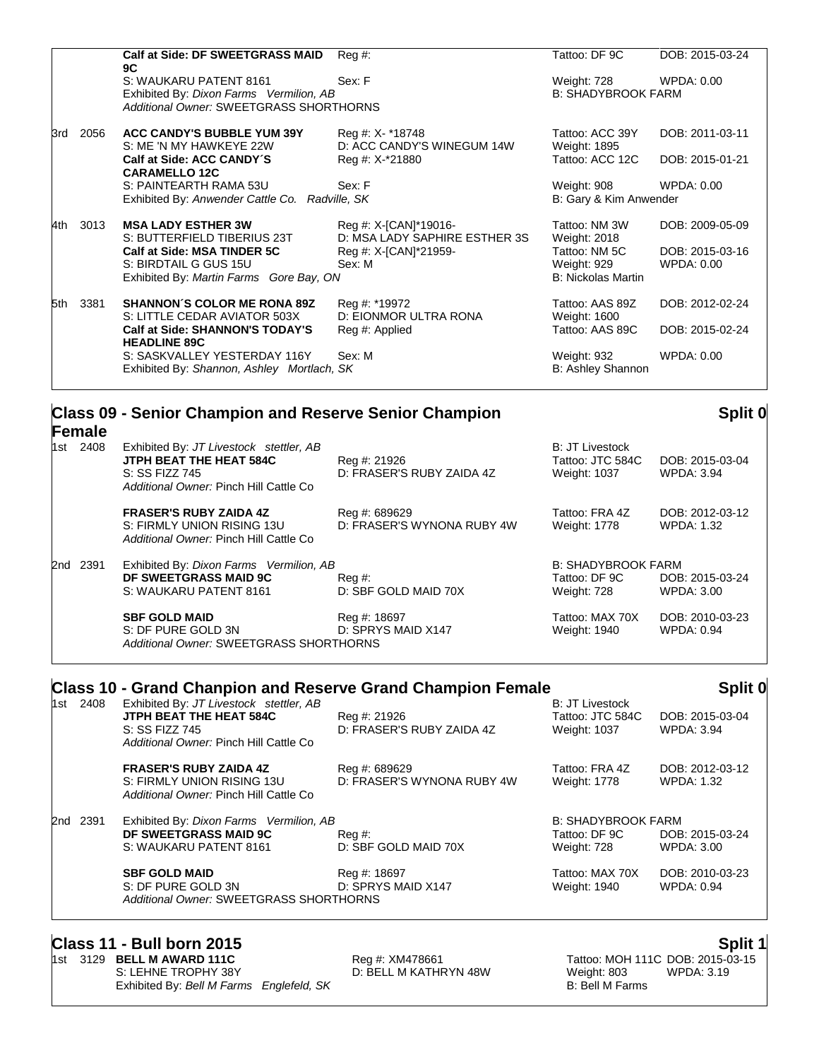|      |      | <b>Calf at Side: DF SWEETGRASS MAID</b>        | $Reg#$ :                      | Tattoo: DF 9C             | DOB: 2015-03-24 |
|------|------|------------------------------------------------|-------------------------------|---------------------------|-----------------|
|      |      | 9C                                             |                               |                           |                 |
|      |      | S: WAUKARU PATENT 8161                         | Sex: F                        | Weight: 728               | WPDA: 0.00      |
|      |      | Exhibited By: Dixon Farms Vermilion, AB        |                               | <b>B: SHADYBROOK FARM</b> |                 |
|      |      | Additional Owner: SWEETGRASS SHORTHORNS        |                               |                           |                 |
| 3rd  | 2056 | <b>ACC CANDY'S BUBBLE YUM 39Y</b>              | Reg #: X- *18748              | Tattoo: ACC 39Y           | DOB: 2011-03-11 |
|      |      | S: ME 'N MY HAWKEYE 22W                        | D: ACC CANDY'S WINEGUM 14W    | Weight: 1895              |                 |
|      |      | Calf at Side: ACC CANDY'S                      | Reg #: X-*21880               | Tattoo: ACC 12C           | DOB: 2015-01-21 |
|      |      | <b>CARAMELLO 12C</b>                           |                               |                           |                 |
|      |      | S: PAINTEARTH RAMA 53U                         | Sex: F                        | Weight: 908               | WPDA: 0.00      |
|      |      | Exhibited By: Anwender Cattle Co. Radville, SK |                               | B: Gary & Kim Anwender    |                 |
| l4th | 3013 | <b>MSA LADY ESTHER 3W</b>                      | Reg #: X-[CAN]*19016-         | Tattoo: NM 3W             | DOB: 2009-05-09 |
|      |      | S: BUTTERFIELD TIBERIUS 23T                    | D: MSA LADY SAPHIRE ESTHER 3S | Weight: 2018              |                 |
|      |      | Calf at Side: MSA TINDER 5C                    | Reg #: X-[CAN]*21959-         | Tattoo: NM 5C             | DOB: 2015-03-16 |
|      |      | S: BIRDTAIL G GUS 15U                          | Sex: M                        | Weight: 929               | WPDA: 0.00      |
|      |      | Exhibited By: Martin Farms Gore Bay, ON        |                               | <b>B: Nickolas Martin</b> |                 |
|      |      |                                                |                               |                           |                 |
| 5th  | 3381 | <b>SHANNON'S COLOR ME RONA 89Z</b>             | Reg #: *19972                 | Tattoo: AAS 89Z           | DOB: 2012-02-24 |
|      |      | S: LITTLE CEDAR AVIATOR 503X                   | D: EIONMOR ULTRA RONA         | Weight: 1600              |                 |
|      |      | <b>Calf at Side: SHANNON'S TODAY'S</b>         | Reg #: Applied                | Tattoo: AAS 89C           | DOB: 2015-02-24 |
|      |      | <b>HEADLINE 89C</b>                            |                               |                           |                 |
|      |      | S: SASKVALLEY YESTERDAY 116Y                   | Sex: M                        | Weight: 932               | WPDA: 0.00      |
|      |      | Exhibited By: Shannon, Ashley Mortlach, SK     |                               | B: Ashley Shannon         |                 |
|      |      |                                                |                               |                           |                 |

| Female      | <b>Class 09 - Senior Champion and Reserve Senior Champion</b>                                                                         |                                             |                                                                   | Split 0                       |
|-------------|---------------------------------------------------------------------------------------------------------------------------------------|---------------------------------------------|-------------------------------------------------------------------|-------------------------------|
| 1st 2408    | Exhibited By: JT Livestock stettler, AB<br><b>JTPH BEAT THE HEAT 584C</b><br>S: SS FIZZ 745<br>Additional Owner: Pinch Hill Cattle Co | Reg #: 21926<br>D: FRASER'S RUBY ZAIDA 4Z   | <b>B: JT Livestock</b><br>Tattoo: JTC 584C<br><b>Weight: 1037</b> | DOB: 2015-03-04<br>WPDA: 3.94 |
|             | <b>FRASER'S RUBY ZAIDA 4Z</b><br>S: FIRMLY UNION RISING 13U<br>Additional Owner: Pinch Hill Cattle Co                                 | Reg #: 689629<br>D: FRASER'S WYNONA RUBY 4W | Tattoo: FRA 4Z<br><b>Weight: 1778</b>                             | DOB: 2012-03-12<br>WPDA: 1.32 |
| 2391<br>2nd | Exhibited By: Dixon Farms Vermilion, AB<br>DF SWEETGRASS MAID 9C<br>S: WAUKARU PATENT 8161                                            | $\text{Re}q \#$ :<br>D: SBF GOLD MAID 70X   | <b>B: SHADYBROOK FARM</b><br>Tattoo: DF 9C<br>Weight: 728         | DOB: 2015-03-24<br>WPDA: 3.00 |
|             | <b>SBF GOLD MAID</b><br>S: DF PURE GOLD 3N                                                                                            | Reg #: 18697<br>D: SPRYS MAID X147          | Tattoo: MAX 70X<br>Weight: 1940                                   | DOB: 2010-03-23<br>WPDA: 0.94 |

## **Class 10 - Grand Chanpion and Reserve Grand Champion Female Split 0**

*Additional Owner:* SWEETGRASS SHORTHORNS

| 1st | 2408     | Exhibited By: JT Livestock stettler, AB<br>JTPH BEAT THE HEAT 584C<br>S: SS FIZZ 745<br>Additional Owner: Pinch Hill Cattle Co | Reg #: 21926<br>D: FRASER'S RUBY ZAIDA 4Z   | <b>B: JT Livestock</b><br>Tattoo: JTC 584C<br><b>Weight: 1037</b> | DOB: 2015-03-04<br>WPDA: 3.94 |
|-----|----------|--------------------------------------------------------------------------------------------------------------------------------|---------------------------------------------|-------------------------------------------------------------------|-------------------------------|
|     |          | <b>FRASER'S RUBY ZAIDA 4Z</b><br>S: FIRMLY UNION RISING 13U<br>Additional Owner: Pinch Hill Cattle Co                          | Reg #: 689629<br>D: FRASER'S WYNONA RUBY 4W | Tattoo: FRA 4Z<br><b>Weight: 1778</b>                             | DOB: 2012-03-12<br>WPDA: 1.32 |
|     | 2nd 2391 | Exhibited By: Dixon Farms Vermilion, AB<br>DF SWEETGRASS MAID 9C<br>S: WAUKARU PATENT 8161                                     | $Req \#$ :<br>D: SBF GOLD MAID 70X          | <b>B: SHADYBROOK FARM</b><br>Tattoo: DF 9C<br>Weight: 728         | DOB: 2015-03-24<br>WPDA: 3.00 |
|     |          | <b>SBF GOLD MAID</b><br>S: DF PURE GOLD 3N<br>Additional Owner: SWEETGRASS SHORTHORNS                                          | Reg #: 18697<br>D: SPRYS MAID X147          | Tattoo: MAX 70X<br>Weight: 1940                                   | DOB: 2010-03-23<br>WPDA: 0.94 |

# **Class 11 - Bull born 2015 Split 1**

Exhibited By: *Bell M Farms Englefeld, SK* B: Bell M Farms B: Bell M Farms

D: BELL M KATHRYN 48W

**1st 3129 BELL M AWARD 111C**<br>15. LEHNE TROPHY 38Y **BELL M KATHRYN 48W** Tattoo: MOH 111C DOB: 2015-03-15<br>15. Reg #: D: BELL M KATHRYN 48W Weight: 803 WPDA: 3.19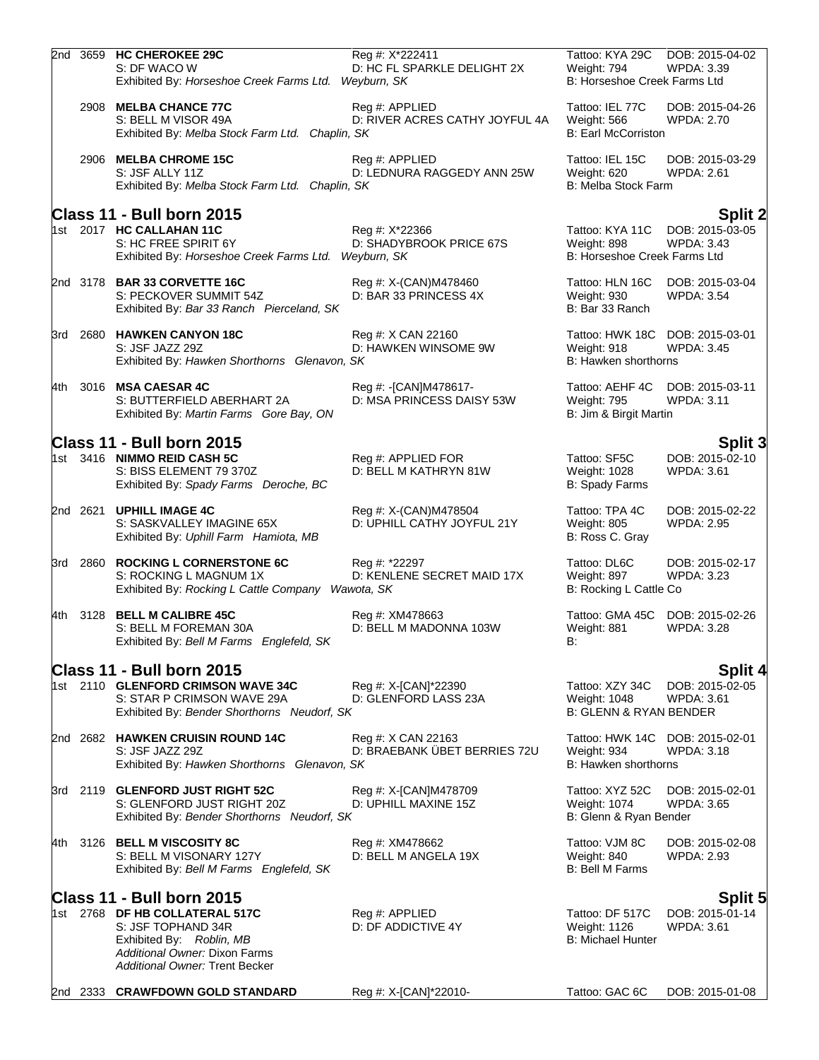|     | 2nd 3659 | <b>HC CHEROKEE 29C</b><br>S: DF WACO W<br>Exhibited By: Horseshoe Creek Farms Ltd.                                                                  | Reg #: X*222411<br>D: HC FL SPARKLE DELIGHT 2X<br>Weyburn, SK | Tattoo: KYA 29C<br>Weight: 794<br>B: Horseshoe Creek Farms Ltd         | DOB: 2015-04-02<br><b>WPDA: 3.39</b> |
|-----|----------|-----------------------------------------------------------------------------------------------------------------------------------------------------|---------------------------------------------------------------|------------------------------------------------------------------------|--------------------------------------|
|     |          | 2908 MELBA CHANCE 77C<br>S: BELL M VISOR 49A<br>Exhibited By: Melba Stock Farm Ltd. Chaplin, SK                                                     | Reg #: APPLIED<br>D: RIVER ACRES CATHY JOYFUL 4A              | Tattoo: IEL 77C<br>Weight: 566<br><b>B: Earl McCorriston</b>           | DOB: 2015-04-26<br><b>WPDA: 2.70</b> |
|     |          | 2906 MELBA CHROME 15C<br>S: JSF ALLY 11Z<br>Exhibited By: Melba Stock Farm Ltd. Chaplin, SK                                                         | Reg #: APPLIED<br>D: LEDNURA RAGGEDY ANN 25W                  | Tattoo: IEL 15C<br>Weight: 620<br><b>B: Melba Stock Farm</b>           | DOB: 2015-03-29<br>WPDA: 2.61        |
|     |          | Class 11 - Bull born 2015                                                                                                                           |                                                               |                                                                        | <b>Split 2</b>                       |
|     |          | 1st 2017 HC CALLAHAN 11C<br>S: HC FREE SPIRIT 6Y<br>Exhibited By: Horseshoe Creek Farms Ltd.                                                        | Reg #: X*22366<br>D: SHADYBROOK PRICE 67S<br>Weyburn, SK      | Tattoo: KYA 11C<br>Weight: 898<br>B: Horseshoe Creek Farms Ltd         | DOB: 2015-03-05<br><b>WPDA: 3.43</b> |
|     |          | 2nd 3178 BAR 33 CORVETTE 16C<br>S: PECKOVER SUMMIT 54Z<br>Exhibited By: Bar 33 Ranch Pierceland, SK                                                 | Reg #: X-(CAN)M478460<br>D: BAR 33 PRINCESS 4X                | Tattoo: HLN 16C<br>Weight: 930<br>B: Bar 33 Ranch                      | DOB: 2015-03-04<br><b>WPDA: 3.54</b> |
| 3rd | 2680     | <b>HAWKEN CANYON 18C</b><br>S: JSF JAZZ 29Z<br>Exhibited By: Hawken Shorthorns Glenavon, SK                                                         | Reg #: X CAN 22160<br>D: HAWKEN WINSOME 9W                    | Tattoo: HWK 18C DOB: 2015-03-01<br>Weight: 918<br>B: Hawken shorthorns | <b>WPDA: 3.45</b>                    |
| 4th | 3016     | <b>MSA CAESAR 4C</b><br>S: BUTTERFIELD ABERHART 2A<br>Exhibited By: Martin Farms Gore Bay, ON                                                       | Reg #: -[CAN]M478617-<br>D: MSA PRINCESS DAISY 53W            | Tattoo: AEHF 4C<br>Weight: 795<br>B: Jim & Birgit Martin               | DOB: 2015-03-11<br><b>WPDA: 3.11</b> |
|     |          | Class 11 - Bull born 2015                                                                                                                           |                                                               |                                                                        | Split 3                              |
|     |          | 1st 3416 NIMMO REID CASH 5C<br>S: BISS ELEMENT 79 370Z<br>Exhibited By: Spady Farms Deroche, BC                                                     | Reg #: APPLIED FOR<br>D: BELL M KATHRYN 81W                   | Tattoo: SF5C<br>Weight: 1028<br>B: Spady Farms                         | DOB: 2015-02-10<br>WPDA: 3.61        |
|     | 2nd 2621 | <b>UPHILL IMAGE 4C</b><br>S: SASKVALLEY IMAGINE 65X<br>Exhibited By: Uphill Farm Hamiota, MB                                                        | Reg #: X-(CAN)M478504<br>D: UPHILL CATHY JOYFUL 21Y           | Tattoo: TPA 4C<br>Weight: 805<br>B: Ross C. Gray                       | DOB: 2015-02-22<br><b>WPDA: 2.95</b> |
|     | 3rd 2860 | <b>ROCKING L CORNERSTONE 6C</b><br>S: ROCKING L MAGNUM 1X<br>Exhibited By: Rocking L Cattle Company Wawota, SK                                      | Reg #: *22297<br>D: KENLENE SECRET MAID 17X                   | Tattoo: DL6C<br>Weight: 897<br>B: Rocking L Cattle Co                  | DOB: 2015-02-17<br><b>WPDA: 3.23</b> |
| 4th | 3128     | <b>BELL M CALIBRE 45C</b><br>S: BELL M FOREMAN 30A<br>Exhibited By: Bell M Farms Englefeld, SK                                                      | Reg #: XM478663<br>D: BELL M MADONNA 103W                     | Tattoo: GMA 45C<br>Weight: 881<br>B:                                   | DOB: 2015-02-26<br>WPDA: 3.28        |
|     |          | Class 11 - Bull born 2015                                                                                                                           |                                                               |                                                                        | Split 4                              |
|     |          | 1st 2110 GLENFORD CRIMSON WAVE 34C<br>S: STAR P CRIMSON WAVE 29A<br>Exhibited By: Bender Shorthorns Neudorf, SK                                     | Reg #: X-[CAN]*22390<br>D: GLENFORD LASS 23A                  | Tattoo: XZY 34C<br>Weight: 1048<br><b>B: GLENN &amp; RYAN BENDER</b>   | DOB: 2015-02-05<br><b>WPDA: 3.61</b> |
|     |          | 2nd 2682 HAWKEN CRUISIN ROUND 14C<br>S: JSF JAZZ 29Z<br>Exhibited By: Hawken Shorthorns Glenavon, SK                                                | Reg #: X CAN 22163<br>D: BRAEBANK ÜBET BERRIES 72U            | Tattoo: HWK 14C DOB: 2015-02-01<br>Weight: 934<br>B: Hawken shorthorns | <b>WPDA: 3.18</b>                    |
|     |          | 3rd 2119 GLENFORD JUST RIGHT 52C<br>S: GLENFORD JUST RIGHT 20Z<br>Exhibited By: Bender Shorthorns Neudorf, SK                                       | Reg #: X-[CAN]M478709<br>D: UPHILL MAXINE 15Z                 | Tattoo: XYZ 52C<br>Weight: 1074<br>B: Glenn & Ryan Bender              | DOB: 2015-02-01<br><b>WPDA: 3.65</b> |
| 4th |          | 3126 BELL M VISCOSITY 8C<br>S: BELL M VISONARY 127Y<br>Exhibited By: Bell M Farms Englefeld, SK                                                     | Reg #: XM478662<br>D: BELL M ANGELA 19X                       | Tattoo: VJM 8C<br>Weight: 840<br><b>B: Bell M Farms</b>                | DOB: 2015-02-08<br><b>WPDA: 2.93</b> |
|     |          | Class 11 - Bull born 2015                                                                                                                           |                                                               |                                                                        | <b>Split 5</b>                       |
|     |          | 1st 2768 DF HB COLLATERAL 517C<br>S: JSF TOPHAND 34R<br>Exhibited By: Roblin, MB<br>Additional Owner: Dixon Farms<br>Additional Owner: Trent Becker | Reg #: APPLIED<br>D: DF ADDICTIVE 4Y                          | Tattoo: DF 517C<br>Weight: 1126<br><b>B: Michael Hunter</b>            | DOB: 2015-01-14<br><b>WPDA: 3.61</b> |
|     | 2nd 2333 | <b>CRAWFDOWN GOLD STANDARD</b>                                                                                                                      | Reg #: X-[CAN]*22010-                                         | Tattoo: GAC 6C                                                         | DOB: 2015-01-08                      |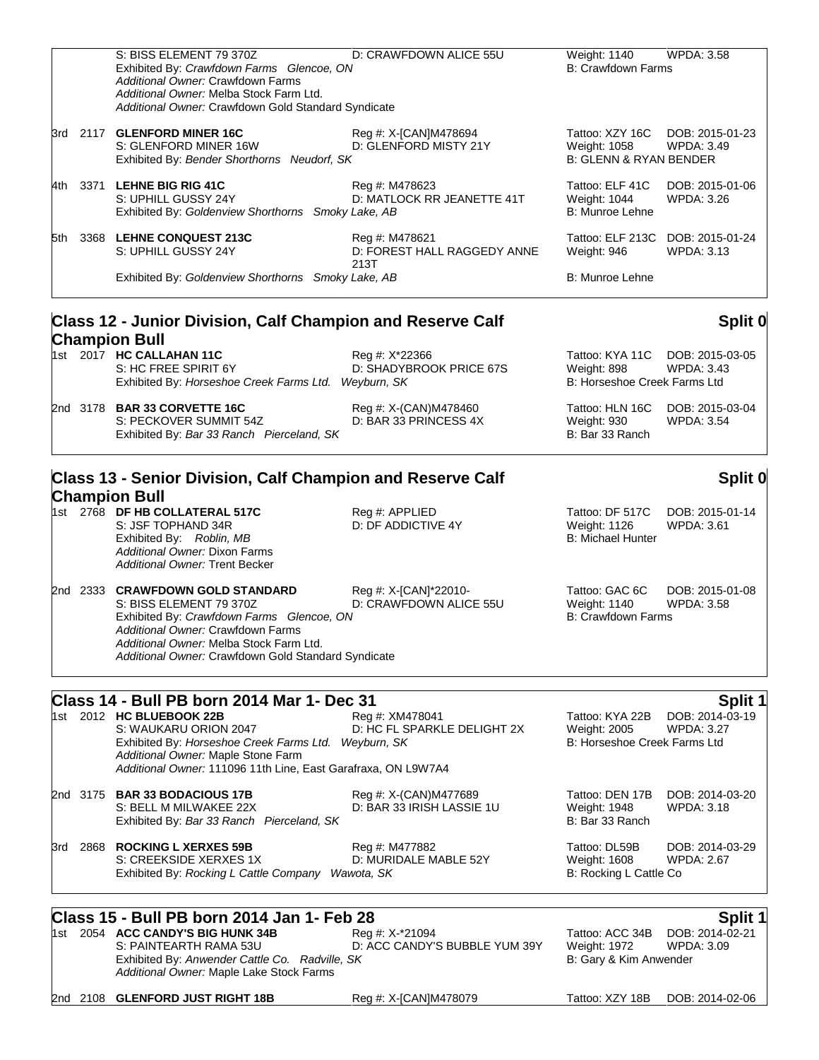|     | S: BISS ELEMENT 79 370Z<br>Exhibited By: Crawfdown Farms Glencoe, ON<br>Additional Owner: Crawfdown Farms<br>Additional Owner: Melba Stock Farm Ltd.<br>Additional Owner: Crawfdown Gold Standard Syndicate                                     | D: CRAWFDOWN ALICE 55U                                | Weight: 1140<br><b>B: Crawfdown Farms</b>                            | WPDA: 3.58                           |
|-----|-------------------------------------------------------------------------------------------------------------------------------------------------------------------------------------------------------------------------------------------------|-------------------------------------------------------|----------------------------------------------------------------------|--------------------------------------|
|     | 3rd 2117 GLENFORD MINER 16C<br>S: GLENFORD MINER 16W<br>Exhibited By: Bender Shorthorns Neudorf, SK                                                                                                                                             | Reg #: X-[CAN]M478694<br>D: GLENFORD MISTY 21Y        | Tattoo: XZY 16C<br>Weight: 1058<br><b>B: GLENN &amp; RYAN BENDER</b> | DOB: 2015-01-23<br>WPDA: 3.49        |
|     | 4th 3371 LEHNE BIG RIG 41C<br>S: UPHILL GUSSY 24Y<br>Exhibited By: Goldenview Shorthorns Smoky Lake, AB                                                                                                                                         | Reg #: M478623<br>D: MATLOCK RR JEANETTE 41T          | Tattoo: ELF 41C<br>Weight: 1044<br>B: Munroe Lehne                   | DOB: 2015-01-06<br>WPDA: 3.26        |
| 5th | 3368 LEHNE CONQUEST 213C<br>S: UPHILL GUSSY 24Y                                                                                                                                                                                                 | Reg #: M478621<br>D: FOREST HALL RAGGEDY ANNE<br>213T | Tattoo: ELF 213C<br>Weight: 946                                      | DOB: 2015-01-24<br><b>WPDA: 3.13</b> |
|     | Exhibited By: Goldenview Shorthorns Smoky Lake, AB                                                                                                                                                                                              |                                                       | B: Munroe Lehne                                                      |                                      |
|     | <b>Class 12 - Junior Division, Calf Champion and Reserve Calf</b>                                                                                                                                                                               |                                                       |                                                                      | Split 0                              |
|     | <b>Champion Bull</b><br>1st 2017 HC CALLAHAN 11C<br>S: HC FREE SPIRIT 6Y<br>Exhibited By: Horseshoe Creek Farms Ltd. Weyburn, SK                                                                                                                | Reg #: X*22366<br>D: SHADYBROOK PRICE 67S             | Tattoo: KYA 11C<br>Weight: 898<br>B: Horseshoe Creek Farms Ltd       | DOB: 2015-03-05<br><b>WPDA: 3.43</b> |
|     | 2nd 3178 BAR 33 CORVETTE 16C<br>S: PECKOVER SUMMIT 54Z<br>Exhibited By: Bar 33 Ranch Pierceland, SK                                                                                                                                             | Reg #: X-(CAN)M478460<br>D: BAR 33 PRINCESS 4X        | Tattoo: HLN 16C<br>Weight: 930<br>B: Bar 33 Ranch                    | DOB: 2015-03-04<br><b>WPDA: 3.54</b> |
|     | Class 13 - Senior Division, Calf Champion and Reserve Calf                                                                                                                                                                                      |                                                       |                                                                      | Split 0                              |
|     | <b>Champion Bull</b><br>1st 2768 DF HB COLLATERAL 517C<br>S: JSF TOPHAND 34R<br>Exhibited By: Roblin, MB<br>Additional Owner: Dixon Farms<br>Additional Owner: Trent Becker                                                                     | Reg #: APPLIED<br>D: DF ADDICTIVE 4Y                  | Tattoo: DF 517C<br>Weight: 1126<br><b>B: Michael Hunter</b>          | DOB: 2015-01-14<br><b>WPDA: 3.61</b> |
|     | 2nd 2333 CRAWFDOWN GOLD STANDARD<br>S: BISS ELEMENT 79 370Z<br>Exhibited By: Crawfdown Farms Glencoe, ON<br>Additional Owner: Crawfdown Farms<br>Additional Owner: Melba Stock Farm Ltd.<br>Additional Owner: Crawfdown Gold Standard Syndicate | Reg #: X-[CAN]*22010-<br>D: CRAWFDOWN ALICE 55U       | Tattoo: GAC 6C<br>Weight: 1140<br><b>B: Crawfdown Farms</b>          | DOB: 2015-01-08<br><b>WPDA: 3.58</b> |
|     | Class 14 - Bull PB born 2014 Mar 1- Dec 31                                                                                                                                                                                                      |                                                       |                                                                      | Split 1                              |
|     | 1st 2012 HC BLUEBOOK 22B<br>S: WAUKARU ORION 2047<br>Exhibited By: Horseshoe Creek Farms Ltd. Weyburn, SK<br>Additional Owner: Maple Stone Farm<br>Additional Owner: 111096 11th Line, East Garafraxa, ON L9W7A4                                | Reg #: XM478041<br>D: HC FL SPARKLE DELIGHT 2X        | Tattoo: KYA 22B<br>Weight: 2005<br>B: Horseshoe Creek Farms Ltd      | DOB: 2014-03-19<br><b>WPDA: 3.27</b> |
|     | 2nd 3175 BAR 33 BODACIOUS 17B<br>S: BELL M MILWAKEE 22X<br>Exhibited By: Bar 33 Ranch Pierceland, SK                                                                                                                                            | Reg #: X-(CAN)M477689<br>D: BAR 33 IRISH LASSIE 1U    | Tattoo: DEN 17B<br>Weight: 1948<br>B: Bar 33 Ranch                   | DOB: 2014-03-20<br>WPDA: 3.18        |
| 3rd | 2868 ROCKING L XERXES 59B<br>S: CREEKSIDE XERXES 1X<br>Exhibited By: Rocking L Cattle Company Wawota, SK                                                                                                                                        | Reg #: M477882<br>D: MURIDALE MABLE 52Y               | Tattoo: DL59B<br>Weight: 1608<br>B: Rocking L Cattle Co              | DOB: 2014-03-29<br><b>WPDA: 2.67</b> |
|     | Class 15 - Bull PB born 2014 Jan 1- Feb 28                                                                                                                                                                                                      |                                                       |                                                                      | Split 1                              |
|     | 1st 2054 ACC CANDY'S BIG HUNK 34B<br>S: PAINTEARTH RAMA 53U<br>Exhibited By: Anwender Cattle Co. Radville, SK<br>Additional Owner: Maple Lake Stock Farms                                                                                       | Reg #: X-*21094<br>D: ACC CANDY'S BUBBLE YUM 39Y      | Tattoo: ACC 34B<br>Weight: 1972<br>B: Gary & Kim Anwender            | DOB: 2014-02-21<br><b>WPDA: 3.09</b> |
|     | 2nd 2108 GLENFORD JUST RIGHT 18B                                                                                                                                                                                                                | Reg #: X-[CAN]M478079                                 | Tattoo: XZY 18B                                                      | DOB: 2014-02-06                      |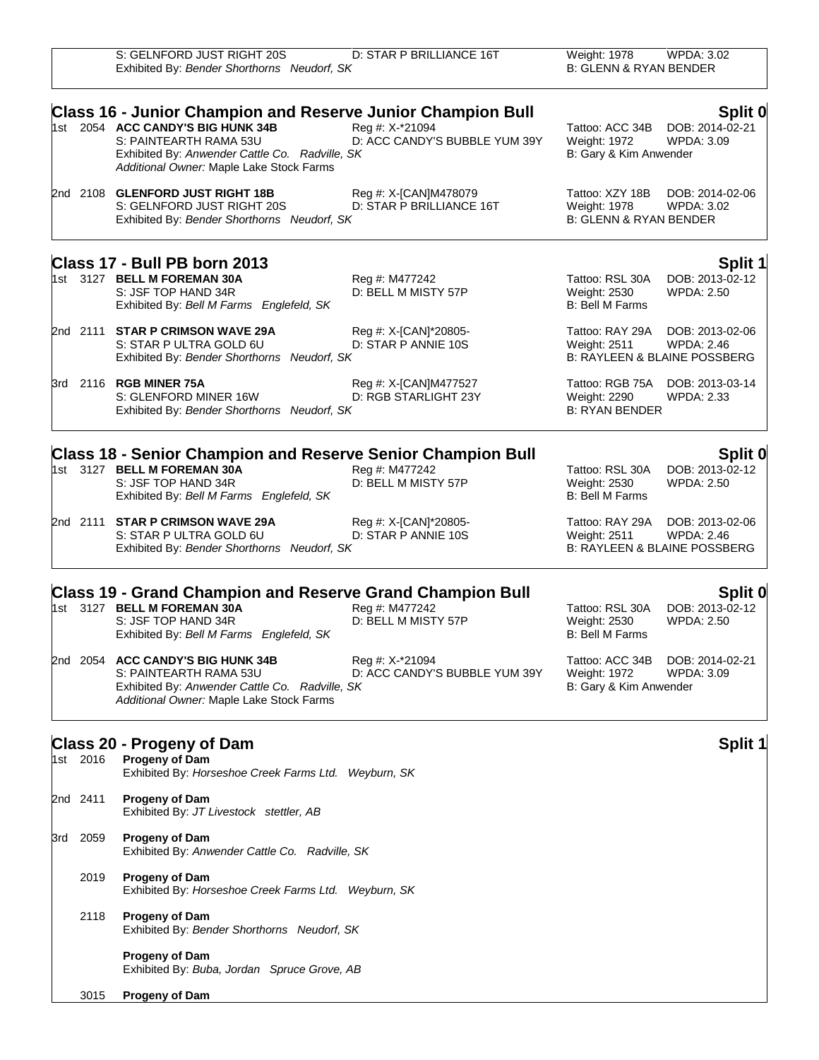|          | S: GELNFORD JUST RIGHT 20S<br>Exhibited By: Bender Shorthorns Neudorf, SK                                                                                 | D: STAR P BRILLIANCE 16T                          | Weight: 1978<br><b>B: GLENN &amp; RYAN BENDER</b>                    | WPDA: 3.02                                                                      |
|----------|-----------------------------------------------------------------------------------------------------------------------------------------------------------|---------------------------------------------------|----------------------------------------------------------------------|---------------------------------------------------------------------------------|
|          | <b>Class 16 - Junior Champion and Reserve Junior Champion Bull</b>                                                                                        |                                                   |                                                                      | Split 0                                                                         |
|          | 1st 2054 ACC CANDY'S BIG HUNK 34B<br>S: PAINTEARTH RAMA 53U<br>Exhibited By: Anwender Cattle Co. Radville, SK<br>Additional Owner: Maple Lake Stock Farms | Reg #: X-*21094<br>D: ACC CANDY'S BUBBLE YUM 39Y  | Tattoo: ACC 34B<br>Weight: 1972<br>B: Gary & Kim Anwender            | DOB: 2014-02-21<br><b>WPDA: 3.09</b>                                            |
|          | 2nd 2108 GLENFORD JUST RIGHT 18B<br>S: GELNFORD JUST RIGHT 20S<br>Exhibited By: Bender Shorthorns Neudorf, SK                                             | Reg #: X-[CAN]M478079<br>D: STAR P BRILLIANCE 16T | Tattoo: XZY 18B<br>Weight: 1978<br><b>B: GLENN &amp; RYAN BENDER</b> | DOB: 2014-02-06<br>WPDA: 3.02                                                   |
|          | Class 17 - Bull PB born 2013                                                                                                                              |                                                   |                                                                      | <b>Split 1</b>                                                                  |
|          | 1st 3127 BELL M FOREMAN 30A<br>S: JSF TOP HAND 34R<br>Exhibited By: Bell M Farms Englefeld, SK                                                            | Reg #: M477242<br>D: BELL M MISTY 57P             | Tattoo: RSL 30A<br>Weight: 2530<br>B: Bell M Farms                   | DOB: 2013-02-12<br><b>WPDA: 2.50</b>                                            |
|          | 2nd 2111 STAR P CRIMSON WAVE 29A<br>S: STAR P ULTRA GOLD 6U<br>Exhibited By: Bender Shorthorns Neudorf, SK                                                | Reg #: X-[CAN]*20805-<br>D: STAR P ANNIE 10S      | Tattoo: RAY 29A<br>Weight: 2511                                      | DOB: 2013-02-06<br>WPDA: 2.46<br><b>B: RAYLEEN &amp; BLAINE POSSBERG</b>        |
|          | 3rd 2116 RGB MINER 75A<br>S: GLENFORD MINER 16W<br>Exhibited By: Bender Shorthorns Neudorf, SK                                                            | Reg #: X-[CAN]M477527<br>D: RGB STARLIGHT 23Y     | Weight: 2290<br><b>B: RYAN BENDER</b>                                | Tattoo: RGB 75A DOB: 2013-03-14<br><b>WPDA: 2.33</b>                            |
|          | <b>Class 18 - Senior Champion and Reserve Senior Champion Bull</b>                                                                                        |                                                   |                                                                      | Split 0                                                                         |
|          | 1st 3127 BELL M FOREMAN 30A<br>S: JSF TOP HAND 34R<br>Exhibited By: Bell M Farms Englefeld, SK                                                            | Reg #: M477242<br>D: BELL M MISTY 57P             | Tattoo: RSL 30A<br>Weight: 2530<br><b>B: Bell M Farms</b>            | DOB: 2013-02-12<br>WPDA: 2.50                                                   |
|          | 2nd 2111 STAR P CRIMSON WAVE 29A<br>S: STAR P ULTRA GOLD 6U<br>Exhibited By: Bender Shorthorns Neudorf, SK                                                | Reg #: X-[CAN]*20805-<br>D: STAR P ANNIE 10S      | Tattoo: RAY 29A<br>Weight: 2511                                      | DOB: 2013-02-06<br><b>WPDA: 2.46</b><br><b>B: RAYLEEN &amp; BLAINE POSSBERG</b> |
|          | <b>Class 19 - Grand Champion and Reserve Grand Champion Bull</b>                                                                                          |                                                   |                                                                      | Split 0                                                                         |
|          | 1st 3127 BELL M FOREMAN 30A<br>S: JSF TOP HAND 34R<br>Exhibited By: Bell M Farms Englefeld, SK                                                            | Reg #: M477242<br>D: BELL M MISTY 57P             | Tattoo: RSL 30A<br>Weight: 2530<br><b>B: Bell M Farms</b>            | DOB: 2013-02-12<br><b>WPDA: 2.50</b>                                            |
|          | 2nd 2054 ACC CANDY'S BIG HUNK 34B<br>S: PAINTEARTH RAMA 53U<br>Exhibited By: Anwender Cattle Co. Radville, SK<br>Additional Owner: Maple Lake Stock Farms | Reg #: X-*21094<br>D: ACC CANDY'S BUBBLE YUM 39Y  | Tattoo: ACC 34B<br>Weight: 1972<br>B: Gary & Kim Anwender            | DOB: 2014-02-21<br>WPDA: 3.09                                                   |
|          | Class 20 - Progeny of Dam                                                                                                                                 |                                                   |                                                                      | <b>Split 1</b>                                                                  |
| 1st 2016 | Progeny of Dam<br>Exhibited By: Horseshoe Creek Farms Ltd. Weyburn, SK                                                                                    |                                                   |                                                                      |                                                                                 |
| 2nd 2411 | <b>Progeny of Dam</b><br>Exhibited By: JT Livestock stettler, AB                                                                                          |                                                   |                                                                      |                                                                                 |
| 3rd 2059 | <b>Progeny of Dam</b><br>Exhibited By: Anwender Cattle Co. Radville, SK                                                                                   |                                                   |                                                                      |                                                                                 |

- 2019 **Progeny of Dam** Exhibited By: *Horseshoe Creek Farms Ltd. Weyburn, SK*
	- 2118 **Progeny of Dam** Exhibited By: *Bender Shorthorns Neudorf, SK*
		- **Progeny of Dam** Exhibited By: *Buba, Jordan Spruce Grove, AB*
- 3015 **Progeny of Dam**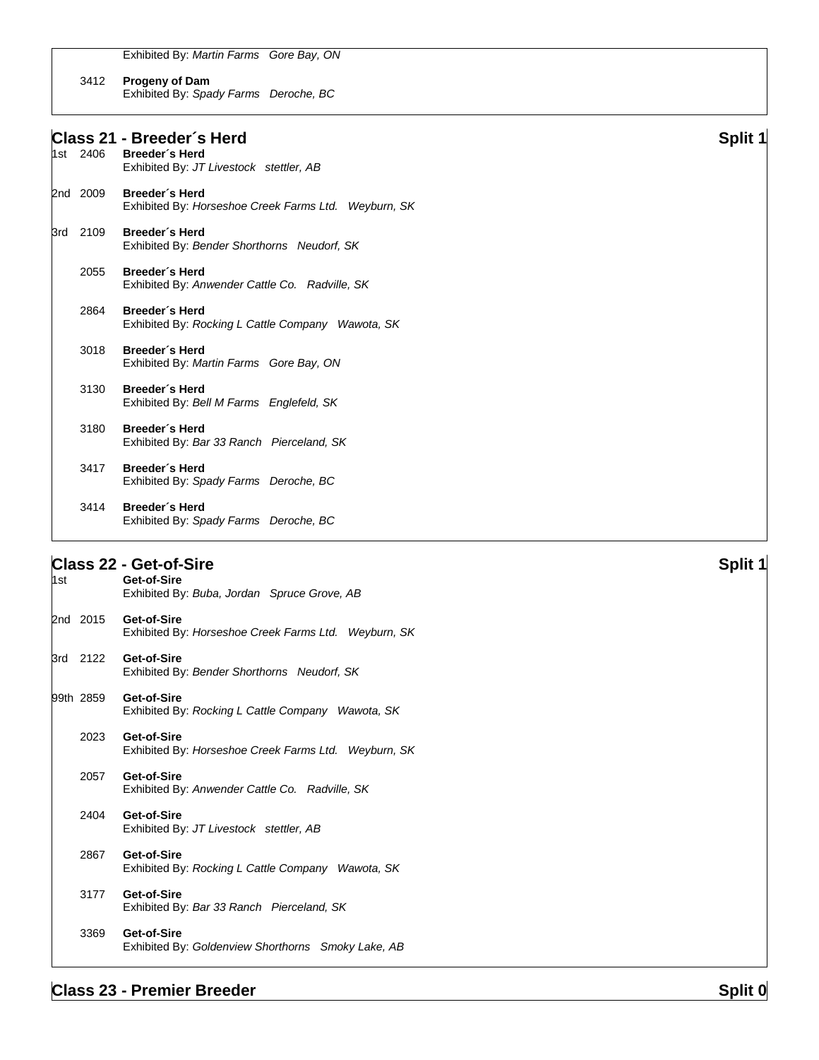Exhibited By: *Martin Farms Gore Bay, ON*

### 3412 **Progeny of Dam** Exhibited By: *Spady Farms Deroche, BC*

# **Class 21 - Breeder´s Herd Split 1** Breeder<sup>'</sup>s Herd Exhibited By: *JT Livestock stettler, AB* 2nd 2009 **Breeder´s Herd** Exhibited By: *Horseshoe Creek Farms Ltd. Weyburn, SK* 3rd 2109 **Breeder´s Herd** Exhibited By: *Bender Shorthorns Neudorf, SK* 2055 **Breeder´s Herd** Exhibited By: *Anwender Cattle Co. Radville, SK* 2864 **Breeder´s Herd** Exhibited By: *Rocking L Cattle Company Wawota, SK* 3018 **Breeder´s Herd** Exhibited By: *Martin Farms Gore Bay, ON* 3130 **Breeder´s Herd** Exhibited By: *Bell M Farms Englefeld, SK* 3180 **Breeder´s Herd** Exhibited By: *Bar 33 Ranch Pierceland, SK* 3417 **Breeder´s Herd** Exhibited By: *Spady Farms Deroche, BC* 3414 **Breeder´s Herd** Exhibited By: *Spady Farms Deroche, BC*

## **Class 22 - Get-of-Sire Split 1**

| 1st |           | Get-of-Sire<br>Exhibited By: Buba, Jordan Spruce Grove, AB          |
|-----|-----------|---------------------------------------------------------------------|
|     | 2nd 2015  | Get-of-Sire<br>Exhibited By: Horseshoe Creek Farms Ltd. Weyburn, SK |
|     | 3rd 2122  | Get-of-Sire<br>Exhibited By: Bender Shorthorns Neudorf, SK          |
|     | 99th 2859 | Get-of-Sire<br>Exhibited By: Rocking L Cattle Company Wawota, SK    |
|     | 2023      | Get-of-Sire<br>Exhibited By: Horseshoe Creek Farms Ltd. Weyburn, SK |
|     | 2057      | Get-of-Sire<br>Exhibited By: Anwender Cattle Co. Radville, SK       |
|     | 2404      | Get-of-Sire<br>Exhibited By: JT Livestock stettler, AB              |
|     | 2867      | Get-of-Sire<br>Exhibited By: Rocking L Cattle Company Wawota, SK    |
|     | 3177      | Get-of-Sire<br>Exhibited By: Bar 33 Ranch Pierceland, SK            |
|     | 3369      | Get-of-Sire<br>Exhibited By: Goldenview Shorthorns Smoky Lake, AB   |
|     |           |                                                                     |

# **Class 23 - Premier Breeder Split 0 Split 0 Split 0 Split 0 Split 0 Split 0 Split 0 Split 0 Split 0 Split 0 Split 0 Split 0 Split 0 Split 0 Split 0 Split 0 Split 0 Split 0 Split 0 Sp**